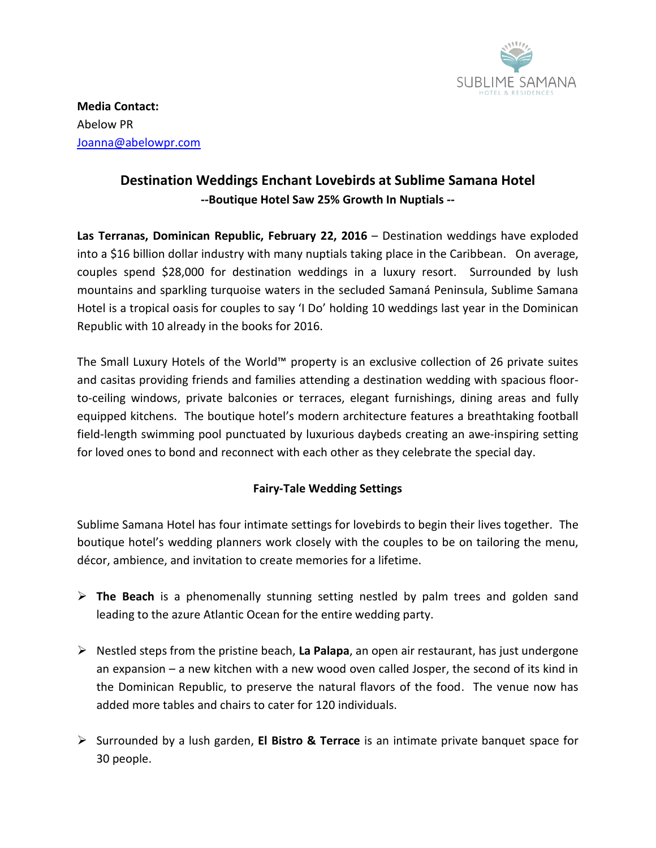

**Media Contact:** Abelow PR [Joanna@abelowpr.com](mailto:Joanna@abelowpr.com)

## **Destination Weddings Enchant Lovebirds at Sublime Samana Hotel --Boutique Hotel Saw 25% Growth In Nuptials --**

**Las Terranas, Dominican Republic, February 22, 2016** – Destination weddings have exploded into a \$16 billion dollar industry with many nuptials taking place in the Caribbean. On average, couples spend \$28,000 for destination weddings in a luxury resort. Surrounded by lush mountains and sparkling turquoise waters in the secluded Samaná Peninsula, Sublime Samana Hotel is a tropical oasis for couples to say 'I Do' holding 10 weddings last year in the Dominican Republic with 10 already in the books for 2016.

The Small Luxury Hotels of the World™ property is an exclusive collection of 26 private suites and casitas providing friends and families attending a destination wedding with spacious floorto-ceiling windows, private balconies or terraces, elegant furnishings, dining areas and fully equipped kitchens. The boutique hotel's modern architecture features a breathtaking football field-length swimming pool punctuated by luxurious daybeds creating an awe-inspiring setting for loved ones to bond and reconnect with each other as they celebrate the special day.

## **Fairy-Tale Wedding Settings**

Sublime Samana Hotel has four intimate settings for lovebirds to begin their lives together. The boutique hotel's wedding planners work closely with the couples to be on tailoring the menu, décor, ambience, and invitation to create memories for a lifetime.

- **The Beach** is a phenomenally stunning setting nestled by palm trees and golden sand leading to the azure Atlantic Ocean for the entire wedding party.
- $\triangleright$  Nestled steps from the pristine beach, **La Palapa**, an open air restaurant, has just undergone an expansion – a new kitchen with a new wood oven called Josper, the second of its kind in the Dominican Republic, to preserve the natural flavors of the food. The venue now has added more tables and chairs to cater for 120 individuals.
- Surrounded by a lush garden, **El Bistro & Terrace** is an intimate private banquet space for 30 people.